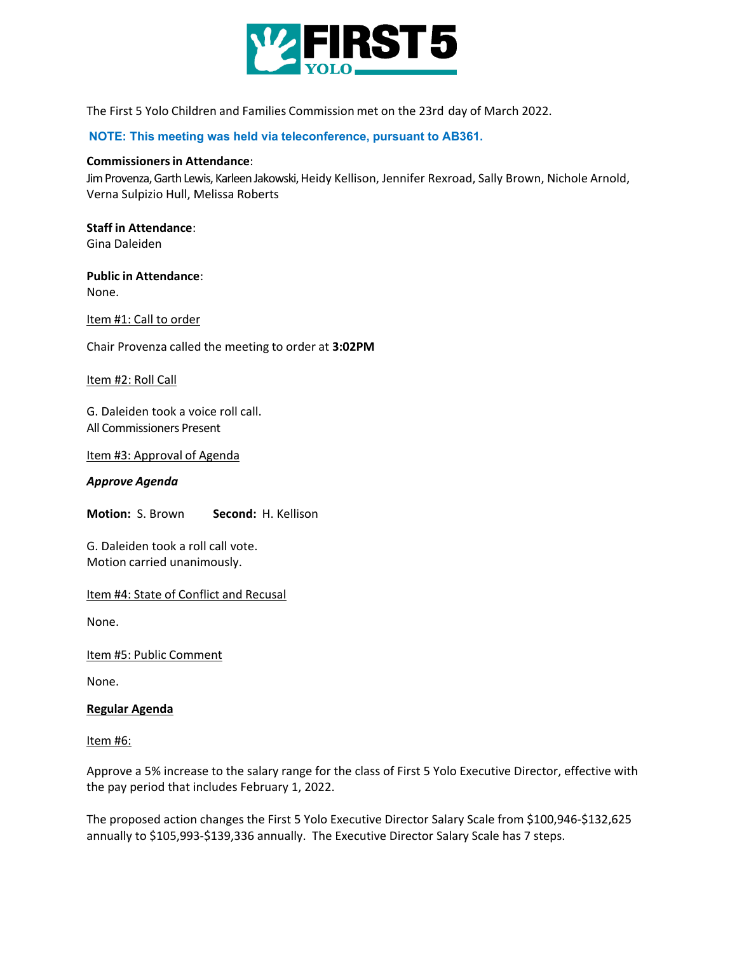

The First 5 Yolo Children and Families Commission met on the 23rd day of March 2022.

**NOTE: This meeting was held via teleconference, pursuant to AB361.**

### **Commissionersin Attendance**:

Jim Provenza, Garth Lewis, Karleen Jakowski, Heidy Kellison, Jennifer Rexroad, Sally Brown, Nichole Arnold, Verna Sulpizio Hull, Melissa Roberts

**Staff in Attendance**: Gina Daleiden

## **Public in Attendance**: None.

Item #1: Call to order

Chair Provenza called the meeting to order at **3:02PM**

Item #2: Roll Call

G. Daleiden took a voice roll call. All Commissioners Present

Item #3: Approval of Agenda

## *Approve Agenda*

**Motion:** S. Brown **Second:** H. Kellison

G. Daleiden took a roll call vote. Motion carried unanimously.

# Item #4: State of Conflict and Recusal

None.

Item #5: Public Comment

None.

### **Regular Agenda**

Item #6:

Approve a 5% increase to the salary range for the class of First 5 Yolo Executive Director, effective with the pay period that includes February 1, 2022.

The proposed action changes the First 5 Yolo Executive Director Salary Scale from \$100,946-\$132,625 annually to \$105,993-\$139,336 annually. The Executive Director Salary Scale has 7 steps.